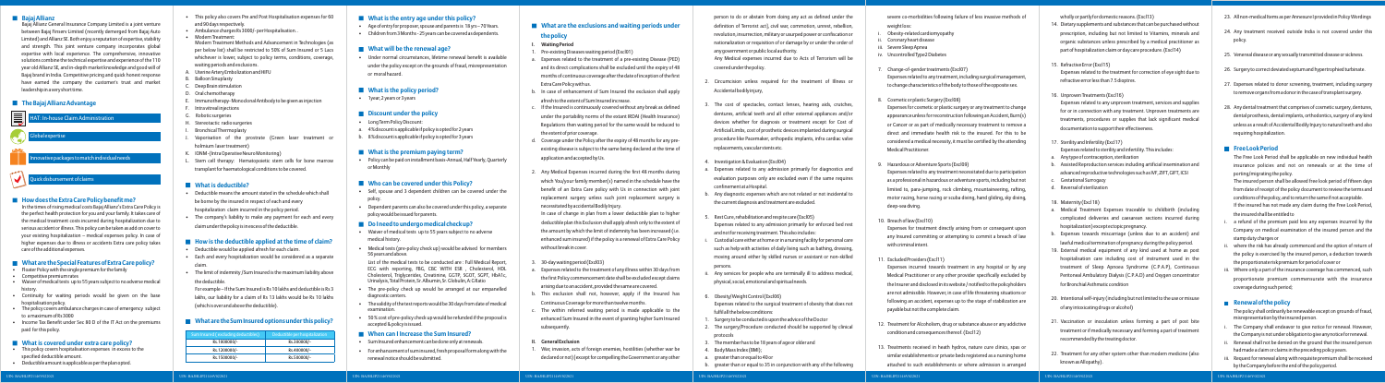#### **Bajaj Allianz**

Bajaj Allianz General Insurance Company Limited is a joint venture between Bajaj Finserv Limited (recently demerged from Bajaj Auto Limited) and Allianz SE. Both enjoy a reputation of expertise, stability and strength. This joint venture company incorporates global expertise with local experience. The comprehensive, innovative solutions combine the technical expertise and experience of the 110 year old Allianz SE, and in-depth market knowledge and good will of Bajaj brand in India. Competitive pricing and quick honest response have earned the company the customer's trust and market leadership in a very short time.

### **The Bajaj Allianz Advantage**

#### **How does the Extra Care Policy benefit me?**

In the times of rising medical costs Bajaj Allianz's Extra Care Policy is the perfect health protection for you and your family. It takes care of the medical treatment costs incurred during hospitalization due to serious accident or illness. This policy can be taken as add on cover to your existing hospitalization – medical expenses policy. In case of higher expenses due to illness or accidents Extra care policy takes care of the additional expenses.

# **What are the Special Features of Extra Care policy?**

- Floater Policy with the single premium for the family
- Competitive premium rates
- Waiver of medical tests up to 55 years subject to no adverse medical history.
- Continuity for waiting periods would be given on the base hospitalisation policy.
- The policy covers ambulance charges in case of emergency subject to a maximum of Rs 3000
- Income Tax Benefit under Sec 80 D of the IT Act on the premiums paid for this policy.

# **What is covered under extra care policy?**

- This policy covers hospitalisation expenses in excess to the specified deductible amount.
- Deductible amount is applicable as per the plan opted.
- This policy also covers Pre and Post Hospitalisation expenses for 60 and 90 days respectively.
- Ambulance charges Rs 3000/- per Hospitalisation. .
- Modern Treatment:
- Modern Treatment Methods and Advancement in Technologies (as per below list) shall be restricted to 50% of Sum Insured or 5 Lacs whichever is lower, subject to policy terms, conditions, coverage, waiting periods and exclusions.
- A. Uterine Artery Embolization and HIFU
- B. Balloon Sinuplasty
- C. Deep Brain stimulation
- D. Oral chemotherapy
- E. Immunotherapy- Monoclonal Antibody to be given as injection
- F. Intra vitreal injections
- G. Robotic surgeries
- H. Stereotactic radio surgeries
- I. Bronchical Thermoplasty
- Vaporisation of the prostrate (Green laser treatment o holmium laser treatment)
- K. IONM -(Intra Operative Neuro Monitoring)
- Stem cell therapy: Hematopoietic stem cells for bone marrow transplant for haematological conditions to be covered.

# **What is deductible?**

- Deductible means the amount stated in the schedule which shall be borne by the insured in respect of each and every hospitalization claim incurred in the policy period.
- The company's liability to make any payment for each and every claim under the policy is in excess of the deductible.

# **How is the deductible applied at the time of claim?**

- Deductible would be applied afresh for each claim.
- Each and every hospitalization would be considered as a separate claim.
- The limit of indemnity /Sum Insured is the maximum liability above the deductible.

For example – If the Sum Insured is Rs 10 lakhs and deductible is Rs 3 lakhs, our liability for a claim of Rs 13 lakhs would be Rs 10 lakhs (which is over and above the deductible).

# **What are the Sum Insured options under this policy?**

UIN: BAJHLIP21146V022021

# **What is the entry age under this policy?**

- Age of entry for proposer, spouse and parents is 18 yrs 70 Years.
- Children from 3 Months 25 years can be covered as dependents.

# **What will be the renewal age?**

• Under normal circumstances, lifetime renewal benefit is available under the policy except on the grounds of fraud, misrepresentation or moral hazard.

# **What is the policy period?**

• 1year, 2 years or 3 years

# **Discount under the policy**

- Long Term Policy Discount:
- a. 4 % discount is applicable if policy is opted for 2 years
- b. 8 % discount is applicable if policy is opted for 3 years

# **What is the premium paying term?**

• Policy can be paid on installment basis-Annual, Half Yearly, Quarterly or Monthly

# **Who can be covered under this Policy?**

- Self, spouse and 3 dependent children can be covered under the policy.
- Dependent parents can also be covered under this policy, a separate policy would be issued for parents.

# **Do I need to undergo medical check up?**

- Waiver of medical tests up to 55 years subject to no adverse medical history.
- Medical tests (pre-policy check up) would be advised for members 56 years and above.

List of the medical tests to be conducted are : Full Medical Report, ECG with reporting, FBG, CBC WITH ESR , Cholesterol, HDL Cholesterol, Triglycerides, Creatinine, GGTP, SGOT, SGPT, HbA1c, Urinalysis, Total Protein, Sr. Albumin, Sr. Globulin, A:G Ratio

severe co-morbidities following failure of less invasive methods of weight loss:

- The pre-policy check up would be arranged at our empanelled diagnostic centers.
- The validity of the test reports would be 30 days from date of medical examination.
- 50 % cost of pre-policy check up would be refunded if the proposal is accepted & policy is issued.

# **When can I Increase the Sum Insured?**

- Sum Insured enhancement can be done only at renewals.
- For enhancement of sum insured, fresh proposal form along with the renewal notice should be submitted.
- Obesity-related cardiomyopathy
- ii. Coronary heart disease
- iii. Severe Sleep Apnea
- iv. Uncontrolled Type2 Diabetes
- 7. Change-of-gender treatments (Excl07) Expenses related to any treatment, including surgical management, to change characteristics of the body to those of the opposite sex.
- 8. Cosmetic or plastic Surgery (Excl08) Expenses for cosmetic or plastic surgery or any treatment to change appearance unless for reconstruction following an Accident, Burn(s) or Cancer or as part of medically necessary treatment to remove a direct and immediate health risk to the insured. For this to be considered a medical necessity, it must be certified by the attending Medical Practitioner.
- 9. Hazardous or Adventure Sports (Excl09) Expenses related to any treatment necessitated due to participation as a professional in hazardous or adventure sports, including but not limited to, para-jumping, rock climbing, mountaineering, rafting, motor racing, horse racing or scuba diving, hand gliding, sky diving, deep-sea diving.
- 10. Breach of law (Excl10)

# **the policy**

- 1. Pre-existing Diseases waiting period (Excl01)
- a. Expenses related to the treatment of a pre-existing Disease (PED) and its direct complications shall be excluded until the expiry of 48 months of continuous coverage after the date of inception of the first
- **I. Waiting Period**
- 
- Extra Care Policy with us.
- b. In case of enhancement of Sum Insured the exclusion shall apply afresh to the extent of Sum Insured increase.
- $\therefore$  If the Insured is continuously covered without any break as defined under the portability norms of the extant IRDAI (Health Insurance) Regulations then waiting period for the same would be reduced to the extent of prior coverage.
- d. Coverage under the Policy after the expiry of 48 months for any preexisting disease is subject to the same being declared at the time of application and accepted by Us.
- without break in cover.
- 3. 30-day waiting period (Excl03)
- a. Expenses related to the treatment of any illness within 30 days from the first Policy commencement date shall be excluded except claims arising due to an accident, provided the same are covered.
- 
- subsequently.
- 2. Any Medical Expenses incurred during the first 48 months during which You/your family member(s) named in the schedule have the benefit of an Extra Care policy with Us in connection with joint replacement surgery unless such joint replacement surgery is necessitated by accidental Bodily Injury.
- In case of change in plan from a lower deductible plan to higher deductible plan this Exclusion shall apply afresh only to the extent of the amount by which the limit of indemnity has been increased (i.e. enhanced sum insured) if the policy is a renewal of Extra Care Policy

- b. This exclusion shall not, however, apply if the Insured has Continuous Coverage for more than twelve months.
- c. The within referred waiting period is made applicable to the enhanced Sum Insured in the event of granting higher Sum Insured

# **II. General Exclusion**

1. War, invasion, acts of foreign enemies, hostilities (whether war be declared or not) [except for compelling the Government or any other

### ■ What are the exclusions and waiting periods under

- a refund of the premium paid less any expenses incurred by the Company on medical examination of the insured person and the stamp duty charges or
- where the risk has already commenced and the option of return of the policy is exercised by the insured person, a deduction towards the proportionate risk premium for period of cover or
- Where only a part of the insurance coverage has commenced, such proportionate premium commensurate with the insurance coverage during such period;

#### **Renewal of the policy**

- The Company shall endeavor to give notice for renewal. However, the Company is not under obligation to give any notice for renewal.
- ii. Renewal shall not be denied on the ground that the insured person had made a claim or claims in the preceding policy years.
- Request for renewal along with requisite premium shall be received by the Company before the end of the policy period.
- person to do or abstain from doing any act as defined under the definition of Terrorist act], civil war, commotion, unrest, rebellion, revolution, insurrection, military or usurped power or confiscation or nationalization or requisition of or damage by or under the order of any government or public local authority.
- Any Medical expenses incurred due to Acts of Terrorism will be covered under the policy.
- 2. Circumcision unless required for the treatment of Illness or Accidental bodily injury,
- 3. The cost of spectacles, contact lenses, hearing aids, crutches, dentures, artificial teeth and all other external appliances and/or devices whether for diagnosis or treatment except for Cost of Artificial Limbs, cost of prosthetic devices implanted during surgical procedure like Pacemaker, orthopedic implants, infra cardiac valve replacements, vascular stents etc.
- 4. Investigation & Evaluation (Excl04)
- a. Expenses related to any admission primarily for diagnostics and evaluation purposes only are excluded even if the same requires confinement at a Hospital.
- b. Any diagnostic expenses which are not related or not incidental to the current diagnosis and treatment are excluded.
- 5. Rest Cure, rehabilitation and respite care (Excl05) Expenses related to any admission primarily for enforced bed rest and not for receiving treatment. This also includes:
- i. Custodial care either at home or in a nursing facility for personal care such as help with activities of daily living such as bathing, dressing, moving around either by skilled nurses or assistant or non-skilled persons.
- i. Any services for people who are terminally ill to address medical, physical, social, emotional and spiritual needs.
- 6. Obesity/Weight Control (Excl06) Expenses related to the surgical treatment of obesity that does not fulfil all the below conditions:
- 1. Surgery to be conducted is upon the advice of the Doctor
- 2. The surgery/Procedure conducted should be supported by clinical protocols
- 3. The member has to be 18 years of age or older and
- 4. Body Mass Index (BMI);

- a. greater than or equal to 40 or
- b. greater than or equal to 35 in conjunction with any of the following

UIN: BAJHLIP21146V022021

Expenses for treatment directly arising from or consequent upon any Insured committing or attempting to commit a breach of law with criminal intent.

11. Excluded Providers (Excl11)

Expenses incurred towards treatment in any hospital or by any Medical Practitioner or any other provider specifically excluded by the Insurer and disclosed in its website / notified to the policyholders are not admissible. However, in case of life threatening situations or following an accident, expenses up to the stage of stabilization are payable but not the complete claim.

- 12. Treatment for Alcoholism, drug or substance abuse or any addictive condition and consequences thereof. (Excl12)
- 13. Treatments received in heath hydros, nature cure clinics, spas or similar establishments or private beds registered as a nursing home attached to such establishments or where admission is arranged

UIN: BAJHLIP21146V022021

wholly or partly for domestic reasons. (Excl13) 14. Dietary supplements and substances that can be purchased without prescription, including but not limited to Vitamins, minerals and organic substances unless prescribed by a medical practitioner as part of hospitalization claim or day care procedure. (Excl14)

- 15. Refractive Error (Excl15) Expenses related to the treatment for correction of eye sight due to refractive error less than 7.5 dioptres.
- 16. Unproven Treatments (Excl16) Expenses related to any unproven treatment, services and supplies for or in connection with any treatment. Unproven treatments are treatments, procedures or supplies that lack significant medical documentation to support their effectiveness.
- 17. Sterility and Infertility (Excl17) Expenses related to sterility and infertility. This includes:
- a. Any type of contraception, sterilization
- b. Assisted Reproduction services including artificial insemination and advanced reproductive technologies such as IVF, ZIFT, GIFT, ICSI
- c. Gestational Surrogacy
- d. Reversal of sterilization
- 18. Maternity (Excl 18)
- a. Medical Treatment Expenses traceable to childbirth (including complicated deliveries and caesarean sections incurred during hospitalization) except ectopic pregnancy.
- b. Expenses towards miscarriage (unless due to an accident) and lawful medical termination of pregnancy during the policy period.
- 19. External medical equipment of any kind used at home as post hospitalisation care including cost of instrument used in the treatment of Sleep Apnoea Syndrome (C.P.A.P), Continuous Peritoneal Ambulatory Dialysis (C.P.A.D) and Oxygen concentrator for Bronchial Asthmatic condition
- 20. Intentional self-injury (including but not limited to the use or misuse of any intoxicating drugs or alcohol)
- 21. Vaccination or inoculation unless forming a part of post bite treatment or if medically necessary and forming a part of treatment recommended by the treating doctor.
- 22. Treatment for any other system other than modern medicine (also known as Allopathy).



| Sum Insured (excluding deductibles) | Deductible per hospitalization |
|-------------------------------------|--------------------------------|
| Rs.1000000/-                        | Rs.300000/-                    |
| Rs.1200000/-                        | Rs.400000/-                    |
| Rs.1500000/-                        | Rs.500000/-                    |
|                                     |                                |

UIN: BAJHLIP21146V022021

- 23. All non-medical Items as per Annexure I provided in Policy Wordings
- 24. Any treatment received outside India is not covered under this policy.
- 25. Venereal disease or any sexually transmitted disease or sickness.
- 26. Surgery to correct deviated septum and hypertrophied turbinate.
- 27. Expenses related to donor screening, treatment, including surgery to remove organs from a donor in the case of transplant surgery.
- 28. Any dental treatment that comprises of cosmetic surgery, dentures, dental prosthesis, dental implants, orthodontics, surgery of any kind unless as a result of Accidental Bodily Injury to natural teeth and also requiring hospitalization.

#### **Free Look Period**

The Free Look Period shall be applicable on new individual health insurance policies and not on renewals or at the time of porting/migrating the policy.

The insured person shall be allowed free look period of fifteen days from date of receipt of the policy document to review the terms and conditions of the policy, and to return the same if not acceptable. If the insured has not made any claim during the Free Look Period, the insured shall be entitled to

The policy shall ordinarily be renewable except on grounds of fraud, misrepresentation by the insured person.